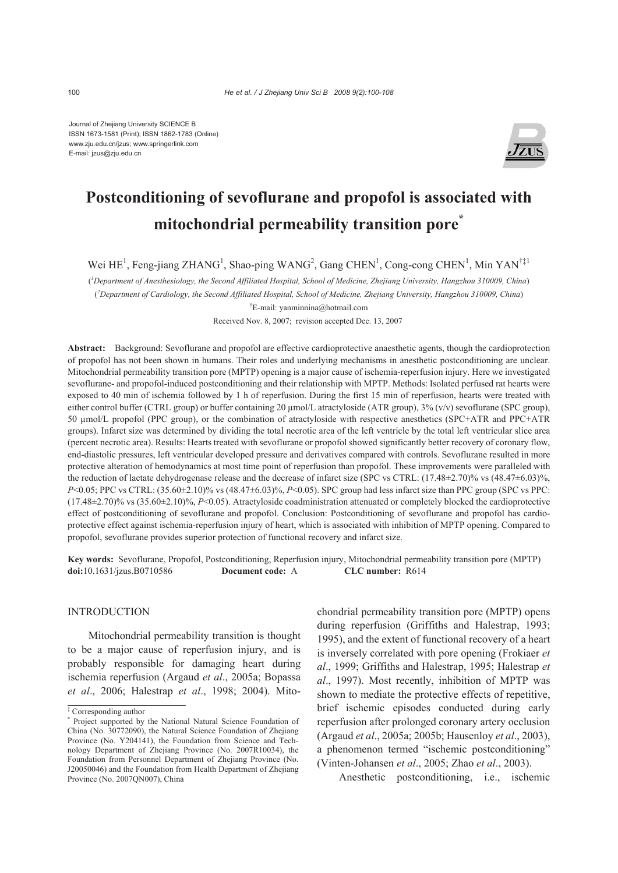Journal of Zhejiang University SCIENCE B ISSN 1673-1581 (Print); ISSN 1862-1783 (Online) www.zju.edu.cn/jzus; www.springerlink.com E-mail: jzus@zju.edu.cn



# **Postconditioning of sevoflurane and propofol is associated with mitochondrial permeability transition pore\***

Wei HE<sup>1</sup>, Feng-jiang ZHANG<sup>1</sup>, Shao-ping WANG<sup>2</sup>, Gang CHEN<sup>1</sup>, Cong-cong CHEN<sup>1</sup>, Min YAN<sup>†‡1</sup>

( *1 Department of Anesthesiology, the Second Affiliated Hospital, School of Medicine, Zhejiang University, Hangzhou 310009, China*) ( *2 Department of Cardiology, the Second Affiliated Hospital, School of Medicine, Zhejiang University, Hangzhou 310009, China*) † E-mail: yanminnina@hotmail.com

Received Nov. 8, 2007; revision accepted Dec. 13, 2007

**Abstract:** Background: Sevoflurane and propofol are effective cardioprotective anaesthetic agents, though the cardioprotection of propofol has not been shown in humans. Their roles and underlying mechanisms in anesthetic postconditioning are unclear. Mitochondrial permeability transition pore (MPTP) opening is a major cause of ischemia-reperfusion injury. Here we investigated sevoflurane- and propofol-induced postconditioning and their relationship with MPTP. Methods: Isolated perfused rat hearts were exposed to 40 min of ischemia followed by 1 h of reperfusion. During the first 15 min of reperfusion, hearts were treated with either control buffer (CTRL group) or buffer containing 20 µmol/L atractyloside (ATR group), 3% (v/v) sevoflurane (SPC group), 50 µmol/L propofol (PPC group), or the combination of atractyloside with respective anesthetics (SPC+ATR and PPC+ATR groups). Infarct size was determined by dividing the total necrotic area of the left ventricle by the total left ventricular slice area (percent necrotic area). Results: Hearts treated with sevoflurane or propofol showed significantly better recovery of coronary flow, end-diastolic pressures, left ventricular developed pressure and derivatives compared with controls. Sevoflurane resulted in more protective alteration of hemodynamics at most time point of reperfusion than propofol. These improvements were paralleled with the reduction of lactate dehydrogenase release and the decrease of infarct size (SPC vs CTRL:  $(17.48\pm2.70)\%$  vs  $(48.47\pm6.03)\%$ , *P*<0.05; PPC vs CTRL: (35.60±2.10)% vs (48.47±6.03)%, *P*<0.05). SPC group had less infarct size than PPC group (SPC vs PPC: (17.48±2.70)% vs (35.60±2.10)%, *P*<0.05). Atractyloside coadministration attenuated or completely blocked the cardioprotective effect of postconditioning of sevoflurane and propofol. Conclusion: Postconditioning of sevoflurane and propofol has cardioprotective effect against ischemia-reperfusion injury of heart, which is associated with inhibition of MPTP opening. Compared to propofol, sevoflurane provides superior protection of functional recovery and infarct size.

**Key words:** Sevoflurane, Propofol, Postconditioning, Reperfusion injury, Mitochondrial permeability transition pore (MPTP) **doi:**10.1631/jzus.B0710586 **Document code:** A **CLC number:** R614

## INTRODUCTION

Mitochondrial permeability transition is thought to be a major cause of reperfusion injury, and is probably responsible for damaging heart during ischemia reperfusion (Argaud *et al*., 2005a; Bopassa *et al*., 2006; Halestrap *et al*., 1998; 2004). Mitochondrial permeability transition pore (MPTP) opens during reperfusion (Griffiths and Halestrap, 1993; 1995), and the extent of functional recovery of a heart is inversely correlated with pore opening (Frokiaer *et al*., 1999; Griffiths and Halestrap, 1995; Halestrap *et al*., 1997). Most recently, inhibition of MPTP was shown to mediate the protective effects of repetitive, brief ischemic episodes conducted during early reperfusion after prolonged coronary artery occlusion (Argaud *et al*., 2005a; 2005b; Hausenloy *et al*., 2003), a phenomenon termed "ischemic postconditioning" (Vinten-Johansen *et al*., 2005; Zhao *et al*., 2003).

Anesthetic postconditioning, i.e., ischemic

<sup>‡</sup> Corresponding author

<sup>\*</sup> Project supported by the National Natural Science Foundation of China (No. 30772090), the Natural Science Foundation of Zhejiang Province (No. Y204141), the Foundation from Science and Technology Department of Zhejiang Province (No. 2007R10034), the Foundation from Personnel Department of Zhejiang Province (No. J20050046) and the Foundation from Health Department of Zhejiang Province (No. 2007QN007), China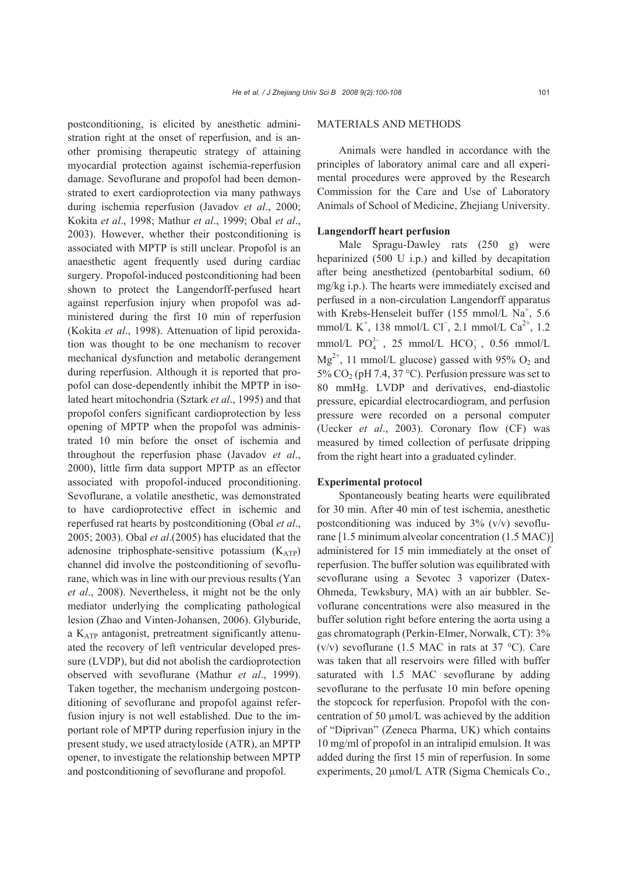postconditioning, is elicited by anesthetic administration right at the onset of reperfusion, and is another promising therapeutic strategy of attaining myocardial protection against ischemia-reperfusion damage. Sevoflurane and propofol had been demonstrated to exert cardioprotection via many pathways during ischemia reperfusion (Javadov *et al*., 2000; Kokita *et al*., 1998; Mathur *et al*., 1999; Obal *et al*., 2003). However, whether their postconditioning is associated with MPTP is still unclear. Propofol is an anaesthetic agent frequently used during cardiac surgery. Propofol-induced postconditioning had been shown to protect the Langendorff-perfused heart against reperfusion injury when propofol was administered during the first 10 min of reperfusion (Kokita *et al*., 1998). Attenuation of lipid peroxidation was thought to be one mechanism to recover mechanical dysfunction and metabolic derangement during reperfusion. Although it is reported that propofol can dose-dependently inhibit the MPTP in isolated heart mitochondria (Sztark *et al*., 1995) and that propofol confers significant cardioprotection by less opening of MPTP when the propofol was administrated 10 min before the onset of ischemia and throughout the reperfusion phase (Javadov *et al*., 2000), little firm data support MPTP as an effector associated with propofol-induced proconditioning. Sevoflurane, a volatile anesthetic, was demonstrated to have cardioprotective effect in ischemic and reperfused rat hearts by postconditioning (Obal *et al*., 2005; 2003). Obal *et al*.(2005) has elucidated that the adenosine triphosphate-sensitive potassium  $(K_{ATP})$ channel did involve the postconditioning of sevoflurane, which was in line with our previous results (Yan *et al*., 2008). Nevertheless, it might not be the only mediator underlying the complicating pathological lesion (Zhao and Vinten-Johansen, 2006). Glyburide, a KATP antagonist, pretreatment significantly attenuated the recovery of left ventricular developed pressure (LVDP), but did not abolish the cardioprotection observed with sevoflurane (Mathur *et al*., 1999). Taken together, the mechanism undergoing postconditioning of sevoflurane and propofol against referfusion injury is not well established. Due to the important role of MPTP during reperfusion injury in the present study, we used atractyloside (ATR), an MPTP opener, to investigate the relationship between MPTP and postconditioning of sevoflurane and propofol.

## MATERIALS AND METHODS

Animals were handled in accordance with the principles of laboratory animal care and all experimental procedures were approved by the Research Commission for the Care and Use of Laboratory Animals of School of Medicine, Zhejiang University.

#### **Langendorff heart perfusion**

Male Spragu-Dawley rats (250 g) were heparinized (500 U i.p.) and killed by decapitation after being anesthetized (pentobarbital sodium, 60 mg/kg i.p.). The hearts were immediately excised and perfused in a non-circulation Langendorff apparatus with Krebs-Henseleit buffer  $(155 \text{ mmol/L Na}^+, 5.6)$ mmol/L K<sup>+</sup>, 138 mmol/L Cl<sup>-</sup>, 2.1 mmol/L Ca<sup>2+</sup>, 1.2 mmol/L  $PO_4^{3-}$ , 25 mmol/L  $HCO_3^-$ , 0.56 mmol/L  $Mg^{2+}$ , 11 mmol/L glucose) gassed with 95% O<sub>2</sub> and 5% CO<sub>2</sub> (pH 7.4, 37 °C). Perfusion pressure was set to 80 mmHg. LVDP and derivatives, end-diastolic pressure, epicardial electrocardiogram, and perfusion pressure were recorded on a personal computer (Uecker *et al*., 2003). Coronary flow (CF) was measured by timed collection of perfusate dripping from the right heart into a graduated cylinder.

#### **Experimental protocol**

Spontaneously beating hearts were equilibrated for 30 min. After 40 min of test ischemia, anesthetic postconditioning was induced by  $3\%$  (v/v) sevoflurane [1.5 minimum alveolar concentration (1.5 MAC)] administered for 15 min immediately at the onset of reperfusion. The buffer solution was equilibrated with sevoflurane using a Sevotec 3 vaporizer (Datex-Ohmeda, Tewksbury, MA) with an air bubbler. Sevoflurane concentrations were also measured in the buffer solution right before entering the aorta using a gas chromatograph (Perkin-Elmer, Norwalk, CT): 3% (v/v) sevoflurane (1.5 MAC in rats at 37  $^{\circ}$ C). Care was taken that all reservoirs were filled with buffer saturated with 1.5 MAC sevoflurane by adding sevoflurane to the perfusate 10 min before opening the stopcock for reperfusion. Propofol with the concentration of 50 µmol/L was achieved by the addition of "Diprivan" (Zeneca Pharma, UK) which contains 10 mg/ml of propofol in an intralipid emulsion. It was added during the first 15 min of reperfusion. In some experiments, 20  $\mu$ mol/L ATR (Sigma Chemicals Co.,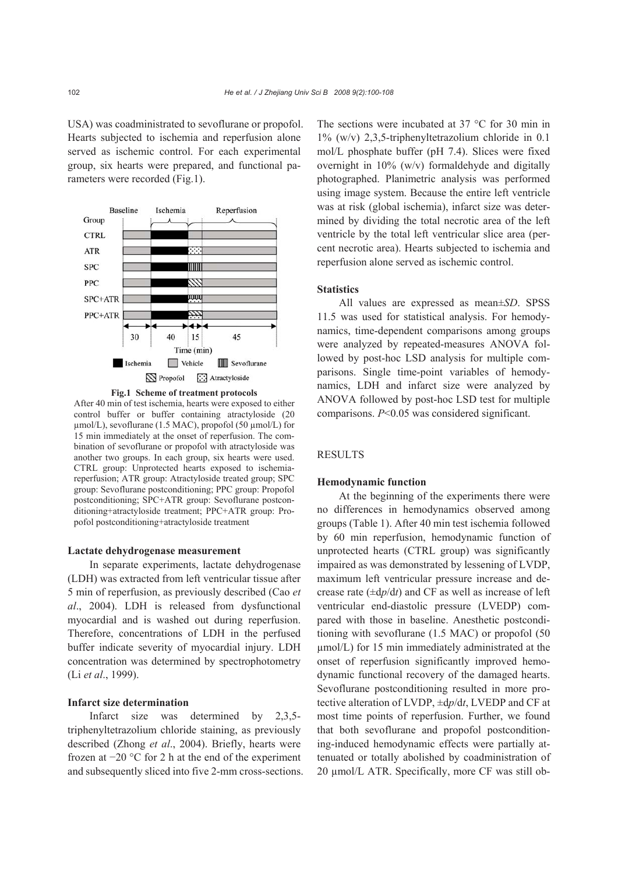USA) was coadministrated to sevoflurane or propofol. Hearts subjected to ischemia and reperfusion alone served as ischemic control. For each experimental group, six hearts were prepared, and functional parameters were recorded (Fig.1).



**Fig.1 Scheme of treatment protocols**

After 40 min of test ischemia, hearts were exposed to either control buffer or buffer containing atractyloside (20 µmol/L), sevoflurane (1.5 MAC), propofol (50 µmol/L) for 15 min immediately at the onset of reperfusion. The combination of sevoflurane or propofol with atractyloside was another two groups. In each group, six hearts were used. CTRL group: Unprotected hearts exposed to ischemiareperfusion; ATR group: Atractyloside treated group; SPC group: Sevoflurane postconditioning; PPC group: Propofol postconditioning; SPC+ATR group: Sevoflurane postconditioning+atractyloside treatment; PPC+ATR group: Propofol postconditioning+atractyloside treatment

#### **Lactate dehydrogenase measurement**

In separate experiments, lactate dehydrogenase (LDH) was extracted from left ventricular tissue after 5 min of reperfusion, as previously described (Cao *et al*., 2004). LDH is released from dysfunctional myocardial and is washed out during reperfusion. Therefore, concentrations of LDH in the perfused buffer indicate severity of myocardial injury. LDH concentration was determined by spectrophotometry (Li *et al*., 1999).

## **Infarct size determination**

Infarct size was determined by 2,3,5 triphenyltetrazolium chloride staining, as previously described (Zhong *et al*., 2004). Briefly, hearts were frozen at −20 °C for 2 h at the end of the experiment and subsequently sliced into five 2-mm cross-sections. The sections were incubated at 37 °C for 30 min in 1% (w/v) 2,3,5-triphenyltetrazolium chloride in 0.1 mol/L phosphate buffer (pH 7.4). Slices were fixed overnight in 10% (w/v) formaldehyde and digitally photographed. Planimetric analysis was performed using image system. Because the entire left ventricle was at risk (global ischemia), infarct size was determined by dividing the total necrotic area of the left ventricle by the total left ventricular slice area (percent necrotic area). Hearts subjected to ischemia and reperfusion alone served as ischemic control.

## **Statistics**

All values are expressed as mean±*SD*. SPSS 11.5 was used for statistical analysis. For hemodynamics, time-dependent comparisons among groups were analyzed by repeated-measures ANOVA followed by post-hoc LSD analysis for multiple comparisons. Single time-point variables of hemodynamics, LDH and infarct size were analyzed by ANOVA followed by post-hoc LSD test for multiple comparisons. *P*<0.05 was considered significant.

## **RESULTS**

## **Hemodynamic function**

At the beginning of the experiments there were no differences in hemodynamics observed among groups (Table 1). After 40 min test ischemia followed by 60 min reperfusion, hemodynamic function of unprotected hearts (CTRL group) was significantly impaired as was demonstrated by lessening of LVDP, maximum left ventricular pressure increase and decrease rate (±d*p*/d*t*) and CF as well as increase of left ventricular end-diastolic pressure (LVEDP) compared with those in baseline. Anesthetic postconditioning with sevoflurane (1.5 MAC) or propofol (50 µmol/L) for 15 min immediately administrated at the onset of reperfusion significantly improved hemodynamic functional recovery of the damaged hearts. Sevoflurane postconditioning resulted in more protective alteration of LVDP, ±d*p*/d*t*, LVEDP and CF at most time points of reperfusion. Further, we found that both sevoflurane and propofol postconditioning-induced hemodynamic effects were partially attenuated or totally abolished by coadministration of 20 µmol/L ATR. Specifically, more CF was still ob-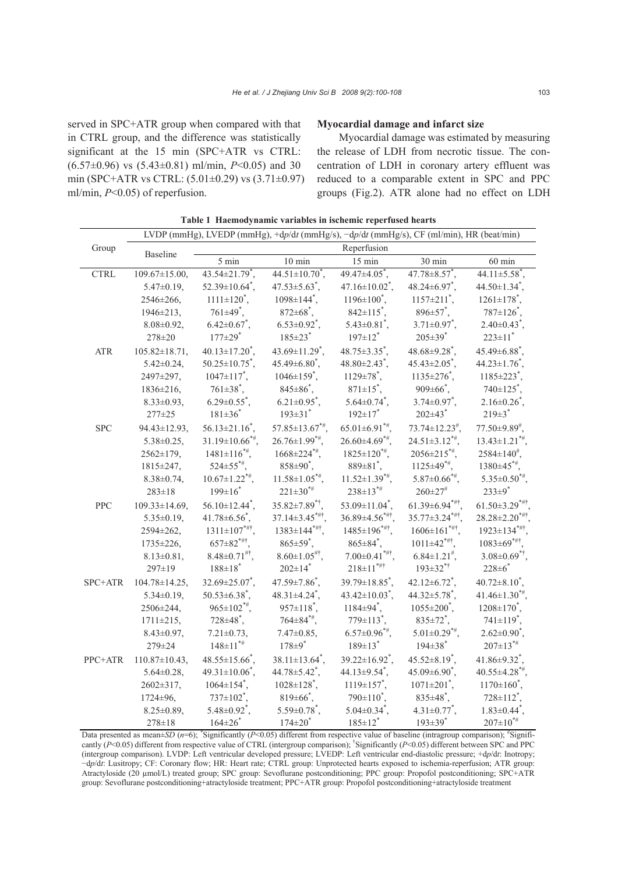served in SPC+ATR group when compared with that in CTRL group, and the difference was statistically significant at the 15 min (SPC+ATR vs CTRL: (6.57±0.96) vs (5.43±0.81) ml/min, *P*<0.05) and 30 min (SPC+ATR vs CTRL: (5.01±0.29) vs (3.71±0.97) ml/min, *P*<0.05) of reperfusion.

## **Myocardial damage and infarct size**

Myocardial damage was estimated by measuring the release of LDH from necrotic tissue. The concentration of LDH in coronary artery effluent was reduced to a comparable extent in SPC and PPC groups (Fig.2). ATR alone had no effect on LDH

|                      | LVDP (mmHg), LVEDP (mmHg), +dp/dt (mmHg/s), -dp/dt (mmHg/s), CF (ml/min), HR (beat/min) |                                   |                                   |                                  |                                  |                                  |
|----------------------|-----------------------------------------------------------------------------------------|-----------------------------------|-----------------------------------|----------------------------------|----------------------------------|----------------------------------|
| Group                | <b>Baseline</b>                                                                         | Reperfusion                       |                                   |                                  |                                  |                                  |
|                      |                                                                                         | 5 min                             | $10 \overline{\text{min}}$        | $15 \text{ min}$                 | $30 \text{ min}$                 | $60 \text{ min}$                 |
| <b>CTRL</b>          | $109.67 \pm 15.00$ ,                                                                    | $43.54 \pm 21.79$ <sup>*</sup> ,  | $44.51 \pm 10.70^*$ ,             | $49.47 \pm 4.05$ <sup>*</sup> ,  | $47.78 \pm 8.57$ <sup>*</sup> ,  | $44.11 \pm 5.58^*$ ,             |
|                      | $5.47 \pm 0.19$ ,                                                                       | $52.39 \pm 10.64$ <sup>*</sup> ,  | $47.53 \pm 5.63$ <sup>*</sup> ,   | $47.16 \pm 10.02$ <sup>*</sup> , | $48.24\pm 6.97$ <sup>*</sup> ,   | $44.50 \pm 1.34$ <sup>*</sup> ,  |
|                      | 2546±266,                                                                               | $1111 \pm 120^*$ ,                | $1098 \pm 144^*$ ,                | $1196 \pm 100^*$ ,               | $1157 \pm 211$ ,                 | $1261 \pm 178^*$ ,               |
|                      | $1946 \pm 213$ ,                                                                        | $761\pm49$ <sup>*</sup> ,         | $872 \pm 68$ <sup>*</sup> ,       | $842 \pm 115$ <sup>*</sup> ,     | $896 \pm 57$ <sup>*</sup> ,      | $787 \pm 126$ <sup>*</sup> ,     |
|                      | $8.08 \pm 0.92$ ,                                                                       | $6.42 \pm 0.67$ <sup>*</sup> ,    | $6.53 \pm 0.92^*$ ,               | $5.43 \pm 0.81$ <sup>*</sup> ,   | $3.71 \pm 0.97^*$ ,              | $2.40\pm0.43^*$ ,                |
|                      | 278±20                                                                                  | $177 \pm 29$ <sup>*</sup>         | $185 \pm 23$ <sup>*</sup>         | $197 \pm 12$ <sup>*</sup>        | $205 \pm 39$ <sup>*</sup>        | $223 \pm 11$ <sup>*</sup>        |
| $\operatorname{ATR}$ | $105.82 \pm 18.71,$                                                                     | $40.13 \pm 17.20^*$ ,             | $43.69 \pm 11.29^*$ ,             | $48.75 \pm 3.35^*$ ,             | $48.68 \pm 9.28^*$ ,             | $45.49\pm6.88^*$ ,               |
|                      | $5.42 \pm 0.24$ ,                                                                       | $50.25 \pm 10.75$ <sup>*</sup> .  | $45.49\pm6.80$ <sup>*</sup> .     | $48.80\pm2.43$ <sup>*</sup> .    | $45.43 \pm 2.05$ <sup>*</sup> .  | $44.23 \pm 1.76$ <sup>*</sup> .  |
|                      | 2497±297,                                                                               | $1047 \pm 117$ <sup>*</sup> ,     | $1046 \pm 159^*$ ,                | $1129 \pm 78^*$ ,                | $1135 \pm 276$ <sup>*</sup> ,    | $1185 \pm 223$ <sup>*</sup> ,    |
|                      | $1836 \pm 216$ ,                                                                        | $761\pm38^*$ ,                    | $845 \pm 86^{\degree}$ ,          | $871 \pm 15$ <sup>*</sup> ,      | $909 \pm 66$ <sup>*</sup> ,      | $740 \pm 125$ <sup>*</sup> ,     |
|                      | $8.33 \pm 0.93,$                                                                        | $6.29 \pm 0.55^*$ ,               | $6.21 \pm 0.95^*$ ,               | $5.64 \pm 0.74$ <sup>*</sup> ,   | $3.74 \pm 0.97^*$ ,              | $2.16 \pm 0.26$ <sup>*</sup> ,   |
|                      | $277 \pm 25$                                                                            | $181 \pm 36$ <sup>*</sup>         | $193 \pm 31$ <sup>*</sup>         | $192 \pm 17$ <sup>*</sup>        | $202 \pm 43$ <sup>*</sup>        | $219 \pm 3$ <sup>*</sup>         |
| <b>SPC</b>           | $94.43 \pm 12.93$ ,                                                                     | $56.13 \pm 21.16^*$ ,             | $57.85 \pm 13.67$ <sup>*#</sup> . | $65.01 \pm 6.91$ <sup>*#</sup> . | $73.74 \pm 12.23$ <sup>#</sup> , | $77.50\pm9.89^{\#}$              |
|                      | $5.38 \pm 0.25$ ,                                                                       | $31.19 \pm 10.66$ <sup>*#</sup> . | $26.76 \pm 1.99$ <sup>*#</sup> .  | $26.60\pm4.69**$                 | $24.51 \pm 3.12$ <sup>*#</sup>   | $13.43 \pm 1.21$ <sup>*#</sup> . |
|                      | $2562 \pm 179$ ,                                                                        | $1481 \pm 116^{*}$                | $1668 \pm 224$ <sup>*#</sup> .    | $1825 \pm 120^{*}$               | $2056 \pm 215$ *#.               | $2584 \pm 140^{\#}$ ,            |
|                      | $1815 \pm 247$ ,                                                                        | $524 \pm 55^{* \#}$               | $858 \pm 90^{\circ}$ ,            | $889 \pm 81^*$ ,                 | $1125 \pm 49^{*#}$ ,             | $1380\pm45$ <sup>*#</sup> ,      |
|                      | $8.38 \pm 0.74$ ,                                                                       | $10.67 \pm 1.22$ <sup>*#</sup> ,  | $11.58 \pm 1.05$ <sup>*#</sup> ,  | $11.52 \pm 1.39$ <sup>*#</sup> , | $5.87 \pm 0.66$ <sup>*#</sup> ,  | $5.35 \pm 0.50^{*}$              |
|                      | $283 \pm 18$                                                                            | $199 \pm 16$ <sup>*</sup>         | $221 \pm 30^{* \#}$               | $238 \pm 13^{*}$                 | $260 \pm 27$ #                   | $233 \pm 9^*$                    |
| PPC                  | $109.33 \pm 14.69$ ,                                                                    | $56.10 \pm 12.44^*$ ,             | $35.82 \pm 7.89$ <sup>*†</sup> ,  | 53.09 $\pm$ 11.04 <sup>*</sup> , | $61.39 \pm 6.94$ ***             | $61.50 \pm 3.29$ ***             |
|                      | $5.35 \pm 0.19$ ,                                                                       | $41.78 \pm 6.56$ <sup>*</sup> ,   | $37.14 \pm 3.45$ <sup>*#†</sup> . | $36.89 \pm 4.56$ ***.            | $35.77 \pm 3.24$ ***             | 28.28±2.20 <sup>*#†</sup> .      |
|                      | $2594 \pm 262$ ,                                                                        | $1311 \pm 107$ <sup>*#†</sup>     | $1383 \pm 144$ <sup>*#†</sup> ,   | $1485 \pm 196$ <sup>*#†</sup> ,  | $1606 \pm 161$ <sup>*#†</sup>    | $1923 \pm 134$ ***               |
|                      | $1735 \pm 226$ ,                                                                        | $657 \pm 82$ <sup>*#†</sup> .     | $865 \pm 59^{\circ}$ ,            | $865 \pm 84^*$ ,                 | $1011 \pm 42$ <sup>*#†</sup> ,   | $1083 \pm 69^{* \# \dagger}$     |
|                      | $8.13 \pm 0.81$ ,                                                                       | $8.48 \pm 0.71$ <sup>#†</sup> ,   | $8.60 \pm 1.05$ <sup>#†</sup> .   | $7.00 \pm 0.41$ <sup>*#†</sup>   | $6.84 \pm 1.21$ <sup>#</sup> ,   | $3.08 \pm 0.69$ <sup>*†</sup> .  |
|                      | $297 \pm 19$                                                                            | $188 \pm 18$ <sup>*</sup>         | $202 \pm 14$ <sup>*</sup>         | $218 \pm 11$ <sup>*#†</sup>      | $193 \pm 32$ <sup>*†</sup>       | $228 \pm 6$ <sup>*</sup>         |
| SPC+ATR              | $104.78 \pm 14.25$ ,                                                                    | $32.69 \pm 25.07$ <sup>*</sup> ,  | $47.59 \pm 7.86^*$ ,              | $39.79 \pm 18.85$ <sup>*</sup> , | $42.12\pm 6.72^*$ ,              | $40.72 \pm 8.10^*$ ,             |
|                      | $5.34 \pm 0.19$ ,                                                                       | $50.53\pm6.38^*$ ,                | $48.31 \pm 4.24$ <sup>*</sup> .   | $43.42 \pm 10.03$ <sup>*</sup> , | $44.32 \pm 5.78$ <sup>*</sup> .  | $41.46 \pm 1.30^{*}$             |
|                      | 2506±244,                                                                               | $965 \pm 102$ <sup>*#</sup> ,     | $957 \pm 118^*$ ,                 | $1184 \pm 94^*$ ,                | $1055 \pm 200^{\circ}$ ,         | $1208 \pm 170^{\circ}$ ,         |
|                      | $1711 \pm 215$ ,                                                                        | $728\pm48^{\degree}$ ,            | $764\pm84^{*}\%$                  | $779 \pm 113$ <sup>*</sup> ,     | $835 \pm 72^*$ ,                 | $741 \pm 119^*$ ,                |
|                      | $8.43 \pm 0.97$ ,                                                                       | $7.21 \pm 0.73$ ,                 | $7.47 \pm 0.85$ ,                 | $6.57 \pm 0.96$ <sup>*#</sup> ,  | $5.01 \pm 0.29$ <sup>*#</sup> ,  | $2.62 \pm 0.90^*$ ,              |
|                      | 279±24                                                                                  | $148 \pm 11$ <sup>*#</sup>        | $178 \pm 9^*$                     | $189 \pm 13$ <sup>*</sup>        | $194 \pm 38$ <sup>*</sup>        | $207 \pm 13^{*}$                 |
| PPC+ATR              | $110.87 \pm 10.43$ ,                                                                    | $48.55 \pm 15.66^*$ ,             | $38.11 \pm 13.64^*$ ,             | $39.22 \pm 16.92$ <sup>*</sup> , | $45.52 \pm 8.19^*$ ,             | 41.86 $\pm$ 9.32 <sup>*</sup> ,  |
|                      | $5.64 \pm 0.28$ ,                                                                       | $49.31 \pm 10.06^*$ ,             | $44.78 \pm 5.42$ <sup>*</sup> ,   | $44.13 \pm 9.54$ <sup>*</sup> ,  | $45.09\pm6.90^{\ast}$ ,          | $40.55 \pm 4.28$ <sup>*#</sup> , |
|                      | $2602 \pm 317$ ,                                                                        | $1064 \pm 154$ <sup>*</sup> ,     | $1028 \pm 128$ <sup>*</sup> ,     | $1119 \pm 157$ <sup>*</sup> ,    | $1071 \pm 201$ <sup>*</sup> ,    | $1170\pm160^*$ ,                 |
|                      | $1724 \pm 96$ ,                                                                         | $737 \pm 102^*$ ,                 | $819\pm 66$ <sup>*</sup> ,        | $790\pm110^*$ ,                  | $835 \pm 48^*$ ,                 | $728 \pm 112^*$ ,                |
|                      | $8.25 \pm 0.89$ ,                                                                       | $5.48 \pm 0.92$ <sup>*</sup> ,    | $5.59 \pm 0.78$ <sup>*</sup> ,    | $5.04 \pm 0.34^*$ ,              | $4.31 \pm 0.77^*$ ,              | $1.83 \pm 0.44$ <sup>*</sup> .   |
|                      | $278 \pm 18$                                                                            | $164 \pm 26$                      | $174 \pm 20^*$                    | $185 \pm 12^{*}$                 | $193 \pm 39$ <sup>*</sup>        | $207 \pm 10^{*}$                 |

**Table 1 Haemodynamic variables in ischemic reperfused hearts**

Data presented as mean±SD ( $n=6$ ); \*Significantly ( $P<0.05$ ) different from respective value of baseline (intragroup comparison); \*Significantly (*P*<0.05) different from respective value of CTRL (intergroup comparison); <sup>†</sup>Significantly (*P*<0.05) different between SPC and PPC (intergroup comparison). LVDP: Left ventricular developed pressure; LVEDP: Left ventricular end-diastolic pressure; +d*p*/d*t*: Inotropy; −d*p*/d*t*: Lusitropy; CF: Coronary flow; HR: Heart rate; CTRL group: Unprotected hearts exposed to ischemia-reperfusion; ATR group: Atractyloside (20 µmol/L) treated group; SPC group: Sevoflurane postconditioning; PPC group: Propofol postconditioning; SPC+ATR group: Sevoflurane postconditioning+atractyloside treatment; PPC+ATR group: Propofol postconditioning+atractyloside treatment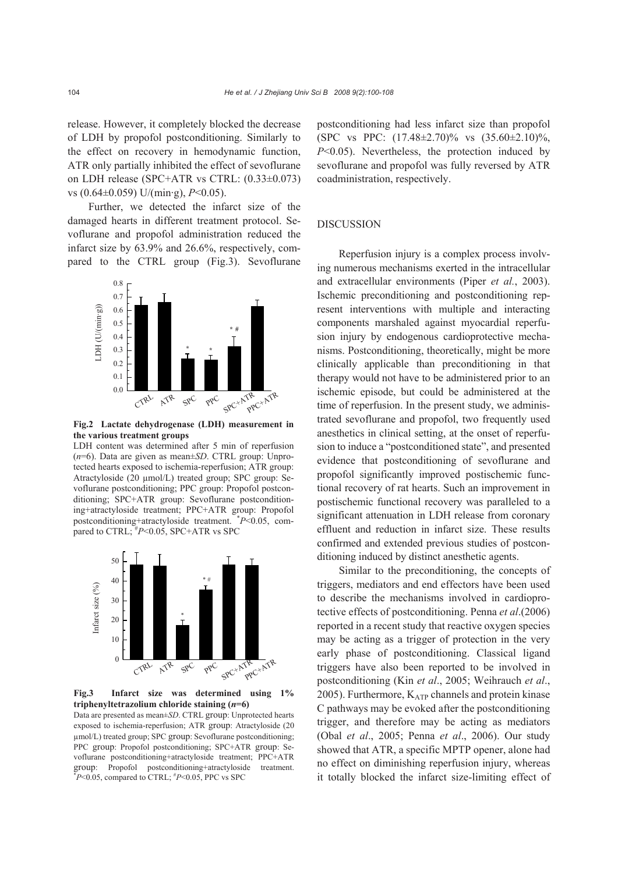release. However, it completely blocked the decrease of LDH by propofol postconditioning. Similarly to the effect on recovery in hemodynamic function, ATR only partially inhibited the effect of sevoflurane on LDH release (SPC+ATR vs CTRL: (0.33±0.073) vs (0.64±0.059) U/(min·g), *P*<0.05).

Further, we detected the infarct size of the damaged hearts in different treatment protocol. Sevoflurane and propofol administration reduced the infarct size by 63.9% and 26.6%, respectively, compared to the CTRL group (Fig.3). Sevoflurane



**Fig.2 Lactate dehydrogenase (LDH) measurement in the various treatment groups** 

LDH content was determined after 5 min of reperfusion (*n*=6). Data are given as mean±*SD*. CTRL group: Unprotected hearts exposed to ischemia-reperfusion; ATR group: Atractyloside (20 µmol/L) treated group; SPC group: Sevoflurane postconditioning; PPC group: Propofol postconditioning; SPC+ATR group: Sevoflurane postconditioning+atractyloside treatment; PPC+ATR group: Propofol postconditioning+atractyloside treatment. \* *P*<0.05, compared to CTRL;  $^{\#}P \le 0.05$ , SPC+ATR vs SPC



**Fig.3 Infarct size was determined using 1% triphenyltetrazolium chloride staining (***n***=6)** 

Data are presented as mean±*SD*. CTRL group: Unprotected hearts exposed to ischemia-reperfusion; ATR group: Atractyloside (20 µmol/L) treated group; SPC group: Sevoflurane postconditioning; PPC group: Propofol postconditioning; SPC+ATR group: Sevoflurane postconditioning+atractyloside treatment; PPC+ATR group: Propofol postconditioning+atractyloside treatment.  $*P<0.05$ , compared to CTRL;  $*P<0.05$ , PPC vs SPC

postconditioning had less infarct size than propofol (SPC vs PPC: (17.48±2.70)% vs (35.60±2.10)%, *P*<0.05). Nevertheless, the protection induced by sevoflurane and propofol was fully reversed by ATR coadministration, respectively.

## **DISCUSSION**

Reperfusion injury is a complex process involving numerous mechanisms exerted in the intracellular and extracellular environments (Piper *et al.*, 2003). Ischemic preconditioning and postconditioning represent interventions with multiple and interacting components marshaled against myocardial reperfusion injury by endogenous cardioprotective mechanisms. Postconditioning, theoretically, might be more clinically applicable than preconditioning in that therapy would not have to be administered prior to an ischemic episode, but could be administered at the time of reperfusion. In the present study, we administrated sevoflurane and propofol, two frequently used anesthetics in clinical setting, at the onset of reperfusion to induce a "postconditioned state", and presented evidence that postconditioning of sevoflurane and propofol significantly improved postischemic functional recovery of rat hearts. Such an improvement in postischemic functional recovery was paralleled to a significant attenuation in LDH release from coronary effluent and reduction in infarct size. These results confirmed and extended previous studies of postconditioning induced by distinct anesthetic agents.

Similar to the preconditioning, the concepts of triggers, mediators and end effectors have been used to describe the mechanisms involved in cardioprotective effects of postconditioning. Penna *et al*.(2006) reported in a recent study that reactive oxygen species may be acting as a trigger of protection in the very early phase of postconditioning. Classical ligand triggers have also been reported to be involved in postconditioning (Kin *et al*., 2005; Weihrauch *et al*., 2005). Furthermore,  $K_{ATP}$  channels and protein kinase C pathways may be evoked after the postconditioning trigger, and therefore may be acting as mediators (Obal *et al*., 2005; Penna *et al*., 2006). Our study showed that ATR, a specific MPTP opener, alone had no effect on diminishing reperfusion injury, whereas it totally blocked the infarct size-limiting effect of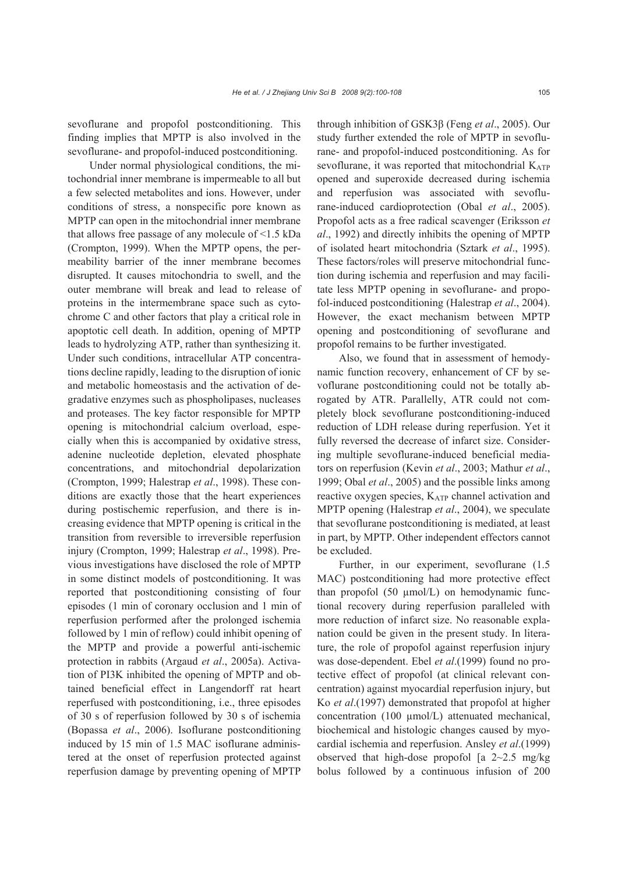sevoflurane and propofol postconditioning. This finding implies that MPTP is also involved in the sevoflurane- and propofol-induced postconditioning.

Under normal physiological conditions, the mitochondrial inner membrane is impermeable to all but a few selected metabolites and ions. However, under conditions of stress, a nonspecific pore known as MPTP can open in the mitochondrial inner membrane that allows free passage of any molecule of <1.5 kDa (Crompton, 1999). When the MPTP opens, the permeability barrier of the inner membrane becomes disrupted. It causes mitochondria to swell, and the outer membrane will break and lead to release of proteins in the intermembrane space such as cytochrome C and other factors that play a critical role in apoptotic cell death. In addition, opening of MPTP leads to hydrolyzing ATP, rather than synthesizing it. Under such conditions, intracellular ATP concentrations decline rapidly, leading to the disruption of ionic and metabolic homeostasis and the activation of degradative enzymes such as phospholipases, nucleases and proteases. The key factor responsible for MPTP opening is mitochondrial calcium overload, especially when this is accompanied by oxidative stress, adenine nucleotide depletion, elevated phosphate concentrations, and mitochondrial depolarization (Crompton, 1999; Halestrap *et al*., 1998). These conditions are exactly those that the heart experiences during postischemic reperfusion, and there is increasing evidence that MPTP opening is critical in the transition from reversible to irreversible reperfusion injury (Crompton, 1999; Halestrap *et al*., 1998). Previous investigations have disclosed the role of MPTP in some distinct models of postconditioning. It was reported that postconditioning consisting of four episodes (1 min of coronary occlusion and 1 min of reperfusion performed after the prolonged ischemia followed by 1 min of reflow) could inhibit opening of the MPTP and provide a powerful anti-ischemic protection in rabbits (Argaud *et al*., 2005a). Activation of PI3K inhibited the opening of MPTP and obtained beneficial effect in Langendorff rat heart reperfused with postconditioning, i.e., three episodes of 30 s of reperfusion followed by 30 s of ischemia (Bopassa *et al*., 2006). Isoflurane postconditioning induced by 15 min of 1.5 MAC isoflurane administered at the onset of reperfusion protected against reperfusion damage by preventing opening of MPTP

through inhibition of GSK3β (Feng *et al*., 2005). Our study further extended the role of MPTP in sevoflurane- and propofol-induced postconditioning. As for sevoflurane, it was reported that mitochondrial  $K_{ATP}$ opened and superoxide decreased during ischemia and reperfusion was associated with sevoflurane-induced cardioprotection (Obal *et al*., 2005). Propofol acts as a free radical scavenger (Eriksson *et al*., 1992) and directly inhibits the opening of MPTP of isolated heart mitochondria (Sztark *et al*., 1995). These factors/roles will preserve mitochondrial function during ischemia and reperfusion and may facilitate less MPTP opening in sevoflurane- and propofol-induced postconditioning (Halestrap *et al*., 2004). However, the exact mechanism between MPTP opening and postconditioning of sevoflurane and propofol remains to be further investigated.

Also, we found that in assessment of hemodynamic function recovery, enhancement of CF by sevoflurane postconditioning could not be totally abrogated by ATR. Parallelly, ATR could not completely block sevoflurane postconditioning-induced reduction of LDH release during reperfusion. Yet it fully reversed the decrease of infarct size. Considering multiple sevoflurane-induced beneficial mediators on reperfusion (Kevin *et al*., 2003; Mathur *et al*., 1999; Obal *et al*., 2005) and the possible links among reactive oxygen species, KATP channel activation and MPTP opening (Halestrap *et al*., 2004), we speculate that sevoflurane postconditioning is mediated, at least in part, by MPTP. Other independent effectors cannot be excluded.

Further, in our experiment, sevoflurane (1.5 MAC) postconditioning had more protective effect than propofol (50 µmol/L) on hemodynamic functional recovery during reperfusion paralleled with more reduction of infarct size. No reasonable explanation could be given in the present study. In literature, the role of propofol against reperfusion injury was dose-dependent. Ebel *et al*.(1999) found no protective effect of propofol (at clinical relevant concentration) against myocardial reperfusion injury, but Ko *et al*.(1997) demonstrated that propofol at higher concentration (100 µmol/L) attenuated mechanical, biochemical and histologic changes caused by myocardial ischemia and reperfusion. Ansley *et al*.(1999) observed that high-dose propofol  $[a \ 2 \sim 2.5 \ mg/kg]$ bolus followed by a continuous infusion of 200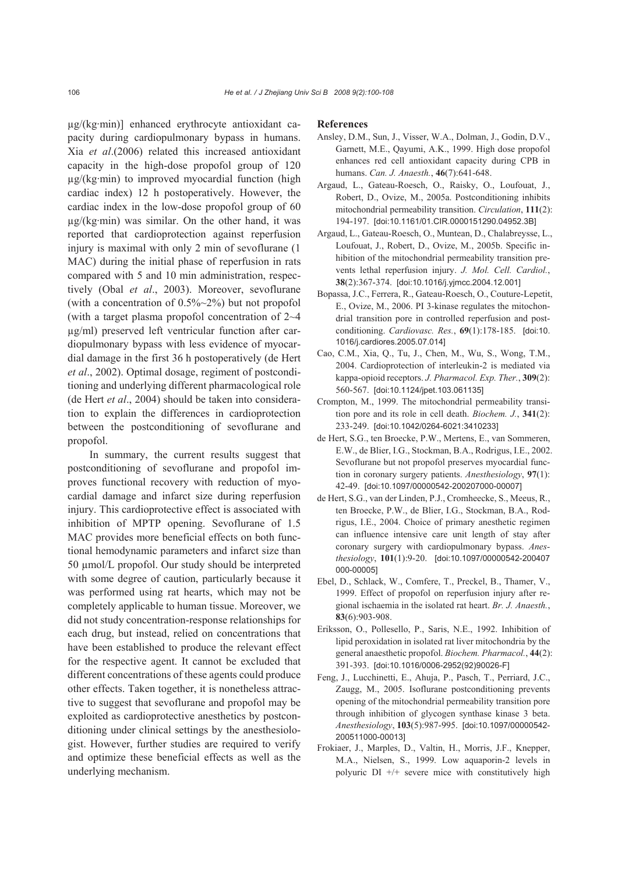µg/(kg·min)] enhanced erythrocyte antioxidant capacity during cardiopulmonary bypass in humans. Xia *et al*.(2006) related this increased antioxidant capacity in the high-dose propofol group of 120  $\mu$ g/(kg·min) to improved myocardial function (high cardiac index) 12 h postoperatively. However, the cardiac index in the low-dose propofol group of 60 µg/(kg·min) was similar. On the other hand, it was reported that cardioprotection against reperfusion injury is maximal with only 2 min of sevoflurane (1 MAC) during the initial phase of reperfusion in rats compared with 5 and 10 min administration, respectively (Obal *et al*., 2003). Moreover, sevoflurane (with a concentration of 0.5%~2%) but not propofol (with a target plasma propofol concentration of 2~4 µg/ml) preserved left ventricular function after cardiopulmonary bypass with less evidence of myocardial damage in the first 36 h postoperatively (de Hert *et al*., 2002). Optimal dosage, regiment of postconditioning and underlying different pharmacological role (de Hert *et al*., 2004) should be taken into consideration to explain the differences in cardioprotection between the postconditioning of sevoflurane and propofol.

In summary, the current results suggest that postconditioning of sevoflurane and propofol improves functional recovery with reduction of myocardial damage and infarct size during reperfusion injury. This cardioprotective effect is associated with inhibition of MPTP opening. Sevoflurane of 1.5 MAC provides more beneficial effects on both functional hemodynamic parameters and infarct size than 50 µmol/L propofol. Our study should be interpreted with some degree of caution, particularly because it was performed using rat hearts, which may not be completely applicable to human tissue. Moreover, we did not study concentration-response relationships for each drug, but instead, relied on concentrations that have been established to produce the relevant effect for the respective agent. It cannot be excluded that different concentrations of these agents could produce other effects. Taken together, it is nonetheless attractive to suggest that sevoflurane and propofol may be exploited as cardioprotective anesthetics by postconditioning under clinical settings by the anesthesiologist. However, further studies are required to verify and optimize these beneficial effects as well as the underlying mechanism.

#### **References**

- Ansley, D.M., Sun, J., Visser, W.A., Dolman, J., Godin, D.V., Garnett, M.E., Qayumi, A.K., 1999. High dose propofol enhances red cell antioxidant capacity during CPB in humans. *Can. J. Anaesth.*, **46**(7):641-648.
- Argaud, L., Gateau-Roesch, O., Raisky, O., Loufouat, J., Robert, D., Ovize, M., 2005a. Postconditioning inhibits mitochondrial permeability transition. *Circulation*, **111**(2): 194-197. [doi:10.1161/01.CIR.0000151290.04952.3B]
- Argaud, L., Gateau-Roesch, O., Muntean, D., Chalabreysse, L., Loufouat, J., Robert, D., Ovize, M., 2005b. Specific inhibition of the mitochondrial permeability transition prevents lethal reperfusion injury. *J. Mol. Cell. Cardiol.*, **38**(2):367-374. [doi:10.1016/j.yjmcc.2004.12.001]
- Bopassa, J.C., Ferrera, R., Gateau-Roesch, O., Couture-Lepetit, E., Ovize, M., 2006. PI 3-kinase regulates the mitochondrial transition pore in controlled reperfusion and postconditioning. *Cardiovasc. Res.*, **69**(1):178-185. [doi:10. 1016/j.cardiores.2005.07.014]
- Cao, C.M., Xia, Q., Tu, J., Chen, M., Wu, S., Wong, T.M., 2004. Cardioprotection of interleukin-2 is mediated via kappa-opioid receptors. *J. Pharmacol. Exp. Ther.*, **309**(2): 560-567. [doi:10.1124/jpet.103.061135]
- Crompton, M., 1999. The mitochondrial permeability transition pore and its role in cell death. *Biochem. J.*, **341**(2): 233-249. [doi:10.1042/0264-6021:3410233]
- de Hert, S.G., ten Broecke, P.W., Mertens, E., van Sommeren, E.W., de Blier, I.G., Stockman, B.A., Rodrigus, I.E., 2002. Sevoflurane but not propofol preserves myocardial function in coronary surgery patients. *Anesthesiology*, **97**(1): 42-49. [doi:10.1097/00000542-200207000-00007]
- de Hert, S.G., van der Linden, P.J., Cromheecke, S., Meeus, R., ten Broecke, P.W., de Blier, I.G., Stockman, B.A., Rodrigus, I.E., 2004. Choice of primary anesthetic regimen can influence intensive care unit length of stay after coronary surgery with cardiopulmonary bypass. *Anesthesiology*, **101**(1):9-20. [doi:10.1097/00000542-200407 000-00005]
- Ebel, D., Schlack, W., Comfere, T., Preckel, B., Thamer, V., 1999. Effect of propofol on reperfusion injury after regional ischaemia in the isolated rat heart. *Br. J. Anaesth.*, **83**(6):903-908.
- Eriksson, O., Pollesello, P., Saris, N.E., 1992. Inhibition of lipid peroxidation in isolated rat liver mitochondria by the general anaesthetic propofol. *Biochem. Pharmacol.*, **44**(2): 391-393. [doi:10.1016/0006-2952(92)90026-F]
- Feng, J., Lucchinetti, E., Ahuja, P., Pasch, T., Perriard, J.C., Zaugg, M., 2005. Isoflurane postconditioning prevents opening of the mitochondrial permeability transition pore through inhibition of glycogen synthase kinase 3 beta. *Anesthesiology*, **103**(5):987-995. [doi:10.1097/00000542- 200511000-00013]
- Frokiaer, J., Marples, D., Valtin, H., Morris, J.F., Knepper, M.A., Nielsen, S., 1999. Low aquaporin-2 levels in polyuric DI +/+ severe mice with constitutively high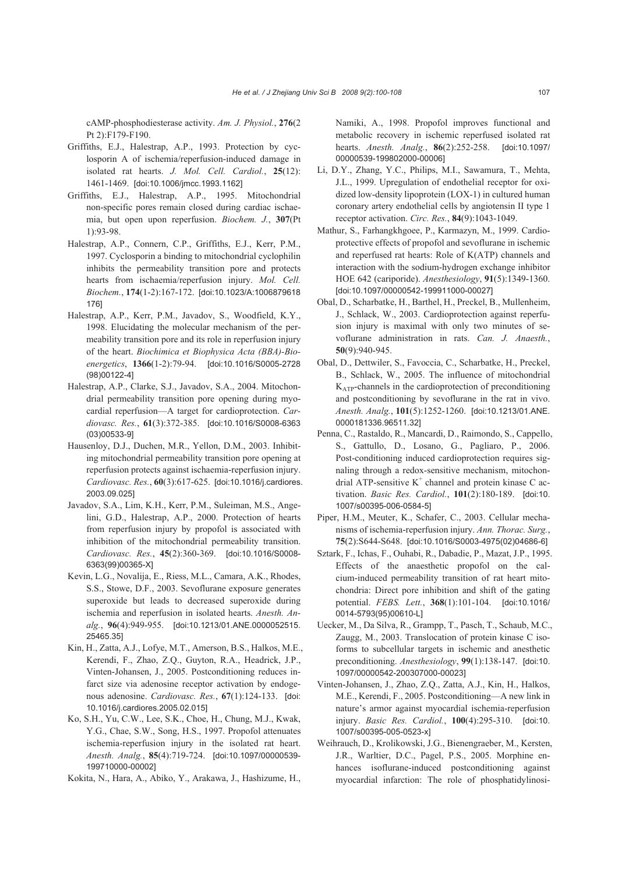cAMP-phosphodiesterase activity. *Am. J. Physiol.*, **276**(2 Pt 2):F179-F190.

- Griffiths, E.J., Halestrap, A.P., 1993. Protection by cyclosporin A of ischemia/reperfusion-induced damage in isolated rat hearts. *J. Mol. Cell. Cardiol.*, **25**(12): 1461-1469. [doi:10.1006/jmcc.1993.1162]
- Griffiths, E.J., Halestrap, A.P., 1995. Mitochondrial non-specific pores remain closed during cardiac ischaemia, but open upon reperfusion. *Biochem. J.*, **307**(Pt 1):93-98.
- Halestrap, A.P., Connern, C.P., Griffiths, E.J., Kerr, P.M., 1997. Cyclosporin a binding to mitochondrial cyclophilin inhibits the permeability transition pore and protects hearts from ischaemia/reperfusion injury. *Mol. Cell. Biochem.*, **174**(1-2):167-172. [doi:10.1023/A:1006879618 176]
- Halestrap, A.P., Kerr, P.M., Javadov, S., Woodfield, K.Y., 1998. Elucidating the molecular mechanism of the permeability transition pore and its role in reperfusion injury of the heart. *Biochimica et Biophysica Acta (BBA)-Bioenergetics*, **1366**(1-2):79-94. [doi:10.1016/S0005-2728 (98)00122-4]
- Halestrap, A.P., Clarke, S.J., Javadov, S.A., 2004. Mitochondrial permeability transition pore opening during myocardial reperfusion—A target for cardioprotection. *Cardiovasc. Res.*, **61**(3):372-385. [doi:10.1016/S0008-6363 (03)00533-9]
- Hausenloy, D.J., Duchen, M.R., Yellon, D.M., 2003. Inhibiting mitochondrial permeability transition pore opening at reperfusion protects against ischaemia-reperfusion injury. *Cardiovasc. Res.*, **60**(3):617-625. [doi:10.1016/j.cardiores. 2003.09.025]
- Javadov, S.A., Lim, K.H., Kerr, P.M., Suleiman, M.S., Angelini, G.D., Halestrap, A.P., 2000. Protection of hearts from reperfusion injury by propofol is associated with inhibition of the mitochondrial permeability transition. *Cardiovasc. Res.*, **45**(2):360-369. [doi:10.1016/S0008- 6363(99)00365-X]
- Kevin, L.G., Novalija, E., Riess, M.L., Camara, A.K., Rhodes, S.S., Stowe, D.F., 2003. Sevoflurane exposure generates superoxide but leads to decreased superoxide during ischemia and reperfusion in isolated hearts. *Anesth. Analg.*, **96**(4):949-955. [doi:10.1213/01.ANE.0000052515. 25465.35]
- Kin, H., Zatta, A.J., Lofye, M.T., Amerson, B.S., Halkos, M.E., Kerendi, F., Zhao, Z.Q., Guyton, R.A., Headrick, J.P., Vinten-Johansen, J., 2005. Postconditioning reduces infarct size via adenosine receptor activation by endogenous adenosine. *Cardiovasc. Res.*, **67**(1):124-133. [doi: 10.1016/j.cardiores.2005.02.015]
- Ko, S.H., Yu, C.W., Lee, S.K., Choe, H., Chung, M.J., Kwak, Y.G., Chae, S.W., Song, H.S., 1997. Propofol attenuates ischemia-reperfusion injury in the isolated rat heart. *Anesth. Analg.*, **85**(4):719-724. [doi:10.1097/00000539- 199710000-00002]
- Kokita, N., Hara, A., Abiko, Y., Arakawa, J., Hashizume, H.,

Namiki, A., 1998. Propofol improves functional and metabolic recovery in ischemic reperfused isolated rat hearts. *Anesth. Analg.*, **86**(2):252-258. [doi:10.1097/ 00000539-199802000-00006]

- Li, D.Y., Zhang, Y.C., Philips, M.I., Sawamura, T., Mehta, J.L., 1999. Upregulation of endothelial receptor for oxidized low-density lipoprotein (LOX-1) in cultured human coronary artery endothelial cells by angiotensin II type 1 receptor activation. *Circ. Res.*, **84**(9):1043-1049.
- Mathur, S., Farhangkhgoee, P., Karmazyn, M., 1999. Cardioprotective effects of propofol and sevoflurane in ischemic and reperfused rat hearts: Role of K(ATP) channels and interaction with the sodium-hydrogen exchange inhibitor HOE 642 (cariporide). *Anesthesiology*, **91**(5):1349-1360. [doi:10.1097/00000542-199911000-00027]
- Obal, D., Scharbatke, H., Barthel, H., Preckel, B., Mullenheim, J., Schlack, W., 2003. Cardioprotection against reperfusion injury is maximal with only two minutes of sevoflurane administration in rats. *Can. J. Anaesth.*, **50**(9):940-945.
- Obal, D., Dettwiler, S., Favoccia, C., Scharbatke, H., Preckel, B., Schlack, W., 2005. The influence of mitochondrial KATP-channels in the cardioprotection of preconditioning and postconditioning by sevoflurane in the rat in vivo. *Anesth. Analg.*, **101**(5):1252-1260. [doi:10.1213/01.ANE. 0000181336.96511.32]
- Penna, C., Rastaldo, R., Mancardi, D., Raimondo, S., Cappello, S., Gattullo, D., Losano, G., Pagliaro, P., 2006. Post-conditioning induced cardioprotection requires signaling through a redox-sensitive mechanism, mitochondrial ATP-sensitive  $K^+$  channel and protein kinase C activation. *Basic Res. Cardiol.*, **101**(2):180-189. [doi:10. 1007/s00395-006-0584-5]
- Piper, H.M., Meuter, K., Schafer, C., 2003. Cellular mechanisms of ischemia-reperfusion injury. *Ann. Thorac. Surg.*, **75**(2):S644-S648. [doi:10.1016/S0003-4975(02)04686-6]
- Sztark, F., Ichas, F., Ouhabi, R., Dabadie, P., Mazat, J.P., 1995. Effects of the anaesthetic propofol on the calcium-induced permeability transition of rat heart mitochondria: Direct pore inhibition and shift of the gating potential. *FEBS. Lett.*, **368**(1):101-104. [doi:10.1016/ 0014-5793(95)00610-L]
- Uecker, M., Da Silva, R., Grampp, T., Pasch, T., Schaub, M.C., Zaugg, M., 2003. Translocation of protein kinase C isoforms to subcellular targets in ischemic and anesthetic preconditioning. *Anesthesiology*, **99**(1):138-147. [doi:10. 1097/00000542-200307000-00023]
- Vinten-Johansen, J., Zhao, Z.Q., Zatta, A.J., Kin, H., Halkos, M.E., Kerendi, F., 2005. Postconditioning—A new link in nature's armor against myocardial ischemia-reperfusion injury. *Basic Res. Cardiol.*, **100**(4):295-310. [doi:10. 1007/s00395-005-0523-x]
- Weihrauch, D., Krolikowski, J.G., Bienengraeber, M., Kersten, J.R., Warltier, D.C., Pagel, P.S., 2005. Morphine enhances isoflurane-induced postconditioning against myocardial infarction: The role of phosphatidylinosi-